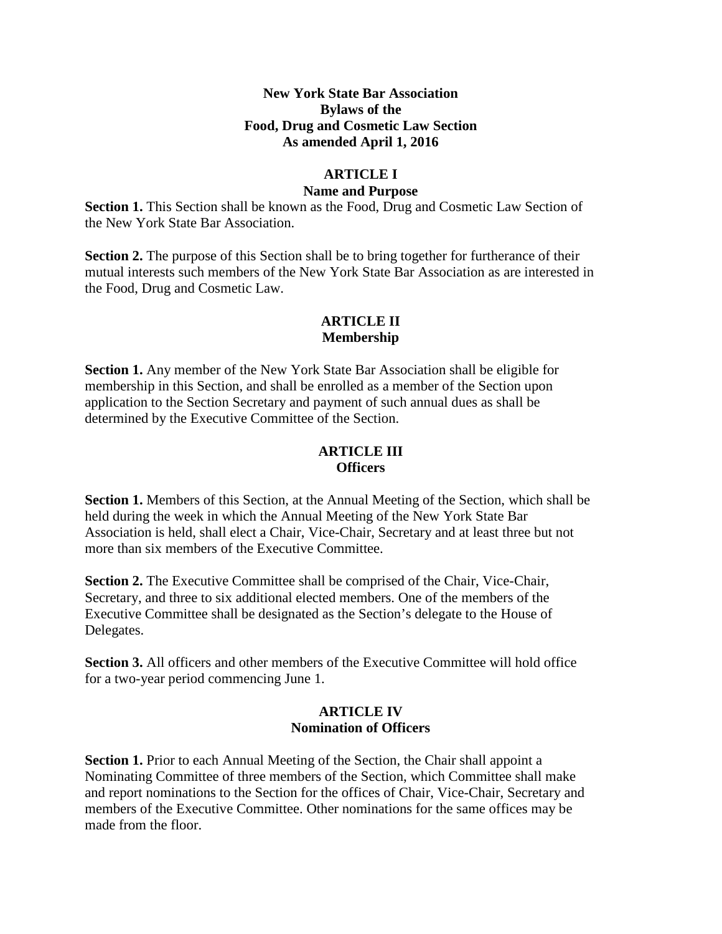#### **New York State Bar Association Bylaws of the Food, Drug and Cosmetic Law Section As amended April 1, 2016**

## **ARTICLE I**

#### **Name and Purpose**

**Section 1.** This Section shall be known as the Food, Drug and Cosmetic Law Section of the New York State Bar Association.

**Section 2.** The purpose of this Section shall be to bring together for furtherance of their mutual interests such members of the New York State Bar Association as are interested in the Food, Drug and Cosmetic Law.

## **ARTICLE II Membership**

**Section 1.** Any member of the New York State Bar Association shall be eligible for membership in this Section, and shall be enrolled as a member of the Section upon application to the Section Secretary and payment of such annual dues as shall be determined by the Executive Committee of the Section.

#### **ARTICLE III Officers**

**Section 1.** Members of this Section, at the Annual Meeting of the Section, which shall be held during the week in which the Annual Meeting of the New York State Bar Association is held, shall elect a Chair, Vice-Chair, Secretary and at least three but not more than six members of the Executive Committee.

**Section 2.** The Executive Committee shall be comprised of the Chair, Vice-Chair, Secretary, and three to six additional elected members. One of the members of the Executive Committee shall be designated as the Section's delegate to the House of Delegates.

**Section 3.** All officers and other members of the Executive Committee will hold office for a two-year period commencing June 1.

#### **ARTICLE IV Nomination of Officers**

**Section 1.** Prior to each Annual Meeting of the Section, the Chair shall appoint a Nominating Committee of three members of the Section, which Committee shall make and report nominations to the Section for the offices of Chair, Vice-Chair, Secretary and members of the Executive Committee. Other nominations for the same offices may be made from the floor.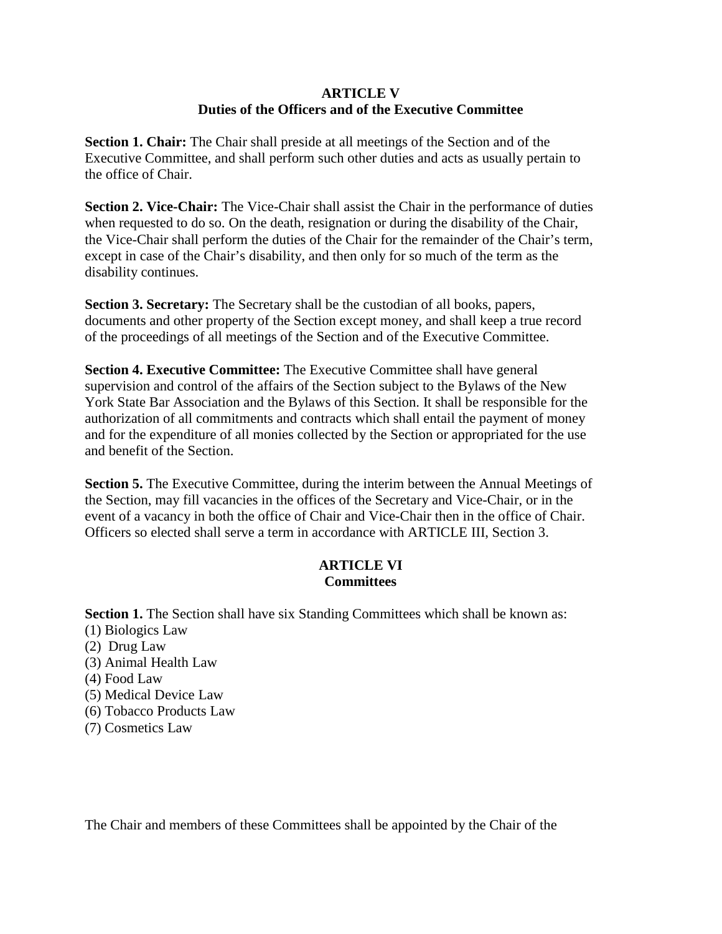#### **ARTICLE V Duties of the Officers and of the Executive Committee**

**Section 1. Chair:** The Chair shall preside at all meetings of the Section and of the Executive Committee, and shall perform such other duties and acts as usually pertain to the office of Chair.

**Section 2. Vice-Chair:** The Vice-Chair shall assist the Chair in the performance of duties when requested to do so. On the death, resignation or during the disability of the Chair, the Vice-Chair shall perform the duties of the Chair for the remainder of the Chair's term, except in case of the Chair's disability, and then only for so much of the term as the disability continues.

**Section 3. Secretary:** The Secretary shall be the custodian of all books, papers, documents and other property of the Section except money, and shall keep a true record of the proceedings of all meetings of the Section and of the Executive Committee.

**Section 4. Executive Committee:** The Executive Committee shall have general supervision and control of the affairs of the Section subject to the Bylaws of the New York State Bar Association and the Bylaws of this Section. It shall be responsible for the authorization of all commitments and contracts which shall entail the payment of money and for the expenditure of all monies collected by the Section or appropriated for the use and benefit of the Section.

**Section 5.** The Executive Committee, during the interim between the Annual Meetings of the Section, may fill vacancies in the offices of the Secretary and Vice-Chair, or in the event of a vacancy in both the office of Chair and Vice-Chair then in the office of Chair. Officers so elected shall serve a term in accordance with ARTICLE III, Section 3.

# **ARTICLE VI Committees**

**Section 1.** The Section shall have six Standing Committees which shall be known as:

- (1) Biologics Law
- (2) Drug Law
- (3) Animal Health Law
- (4) Food Law
- (5) Medical Device Law
- (6) Tobacco Products Law
- (7) Cosmetics Law

The Chair and members of these Committees shall be appointed by the Chair of the